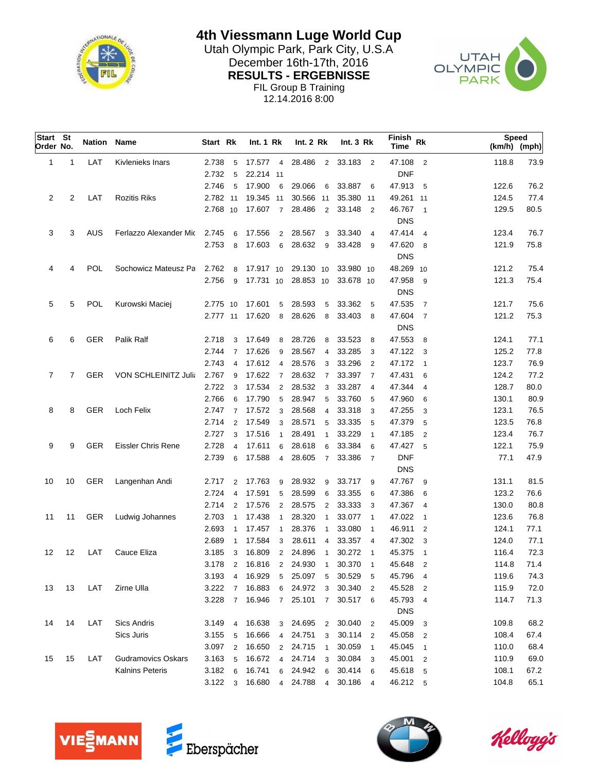

**4th Viessmann Luge World Cup**

Utah Olympic Park, Park City, U.S.A<br>Desember 16th-17th, 2016 December 16th-17th, 2016<br>
RESULTS - ERGEBNISSE<br>
PARK **RESULTS - ERGEBNISSE** FIL Group B Training 12.14.2016 8:00



| Start St<br>Order No. |    |            | Nation Name                 | Start Rk        |                | Int. 1 Rk       |                 | <b>Int. 2 Rk</b> |                | Int.3 Rk  |                            | Finish<br><b>Time</b> | Rk                       | Speed<br>$(km/h)$ (mph) |      |
|-----------------------|----|------------|-----------------------------|-----------------|----------------|-----------------|-----------------|------------------|----------------|-----------|----------------------------|-----------------------|--------------------------|-------------------------|------|
| 1                     | 1  | LAT        | Kivlenieks Inars            | 2.738           | 5              | 17.577 4        |                 | 28.486           |                | 2 33.183  | $\overline{\phantom{0}}^2$ | 47.108                | $\overline{\mathbf{c}}$  | 118.8                   | 73.9 |
|                       |    |            |                             | 2.732           | 5              | 22.214 11       |                 |                  |                |           |                            | <b>DNF</b>            |                          |                         |      |
|                       |    |            |                             | 2.746           | 5              | 17.900          | 6               | 29.066           | 6              | 33.887    | 6                          | 47.913                | 5                        | 122.6                   | 76.2 |
| 2                     | 2  | LAT        | <b>Rozitis Riks</b>         | 2.782 11        |                | 19.345 11       |                 | 30.566 11        |                | 35.380 11 |                            | 49.261 11             |                          | 124.5                   | 77.4 |
|                       |    |            |                             | 2.768 10        |                | 17.607          | $\overline{7}$  | 28.486           | 2              | 33.148    | $\overline{2}$             | 46.767 1              |                          | 129.5                   | 80.5 |
|                       |    |            |                             |                 |                |                 |                 |                  |                |           |                            | <b>DNS</b>            |                          |                         |      |
| 3                     | 3  | AUS        | Ferlazzo Alexander Mic      | 2.745           | 6              | 17.556          |                 | 2 28.567         | 3              | 33.340    | $\overline{4}$             | 47.414                | $\overline{4}$           | 123.4                   | 76.7 |
|                       |    |            |                             | 2.753           | 8              | 17.603          | 6               | 28.632           | 9              | 33.428    | -9                         | 47.620                | 8                        | 121.9                   | 75.8 |
|                       |    |            |                             |                 |                |                 |                 |                  |                |           |                            | <b>DNS</b>            |                          |                         |      |
| 4                     | 4  | <b>POL</b> | Sochowicz Mateusz Pa        | 2.762           | 8              | 17.917 10       |                 | 29.130 10        |                | 33.980 10 |                            | 48.269 10             |                          | 121.2                   | 75.4 |
|                       |    |            |                             | 2.756           | 9              | 17.731 10       |                 | 28.853 10        |                | 33.678 10 |                            | 47.958                | 9                        | 121.3                   | 75.4 |
|                       |    |            |                             |                 |                |                 |                 |                  |                |           |                            | <b>DNS</b>            |                          |                         |      |
| 5                     | 5  | <b>POL</b> | Kurowski Maciej             | 2.775 10        |                | 17.601          | 5               | 28.593           | 5              | 33.362    | - 5                        | 47.535                | $\overline{7}$           | 121.7                   | 75.6 |
|                       |    |            |                             | 2.777 11        |                | 17.620          | 8               | 28.626           | 8              | 33.403    | -8                         | 47.604 7              |                          | 121.2                   | 75.3 |
|                       |    |            |                             |                 |                |                 |                 |                  |                |           |                            | <b>DNS</b>            |                          |                         |      |
| 6                     | 6  | <b>GER</b> | Palik Ralf                  | 2.718           | 3              | 17.649          | 8               | 28.726           | 8              | 33.523    | 8                          | 47.553                | 8                        | 124.1                   | 77.1 |
|                       |    |            |                             | 2.744           | $\overline{7}$ | 17.626          | 9               | 28.567           | 4              | 33.285    | 3                          | 47.122                | $\overline{\mathbf{3}}$  | 125.2                   | 77.8 |
|                       |    |            |                             | 2.743           | $\overline{4}$ | 17.612          | $\overline{4}$  | 28.576           | 3              | 33.296    | $\overline{2}$             | 47.172                | $\overline{\phantom{0}}$ | 123.7                   | 76.9 |
| 7                     | 7  | <b>GER</b> | <b>VON SCHLEINITZ Julia</b> | 2.767           | 9              | 17.622          | $\overline{7}$  | 28.632           | $\overline{7}$ | 33.397    | $\overline{7}$             | 47.431                | 6                        | 124.2                   | 77.2 |
|                       |    |            |                             | 2.722           | 3              | 17.534          | $\overline{2}$  | 28.532           | 3              | 33.287    | $\overline{4}$             | 47.344                | $\overline{4}$           | 128.7                   | 80.0 |
|                       |    |            |                             | 2.766           | 6              | 17.790          | $5\phantom{.0}$ | 28.947           | 5              | 33.760    | 5                          | 47.960                | 6                        | 130.1                   | 80.9 |
| 8                     | 8  | GER        | Loch Felix                  | 2.747           | $\overline{7}$ | 17.572          | 3               | 28.568           | $\overline{4}$ | 33.318    | 3                          | 47.255                | 3                        | 123.1                   | 76.5 |
|                       |    |            |                             | 2.714           | $\overline{2}$ | 17.549          | 3               | 28.571           | 5              | 33.335    | 5                          | 47.379                | 5                        | 123.5                   | 76.8 |
|                       |    |            |                             | 2.727           | 3              | 17.516          | $\mathbf{1}$    | 28.491           | $\mathbf{1}$   | 33.229    | $\overline{1}$             | 47.185                | $\overline{2}$           | 123.4                   | 76.7 |
| 9                     | 9  | <b>GER</b> | <b>Eissler Chris Rene</b>   | 2.728           | $\overline{4}$ | 17.611          | 6               | 28.618           | 6              | 33.384    | 6                          | 47.427                | 5                        | 122.1                   | 75.9 |
|                       |    |            |                             | 2.739           | 6              | 17.588          | $\overline{4}$  | 28.605           | $\overline{7}$ | 33.386    | $\overline{7}$             | <b>DNF</b>            |                          | 77.1                    | 47.9 |
|                       |    |            |                             |                 |                |                 |                 |                  |                |           |                            | <b>DNS</b>            |                          |                         |      |
| 10                    | 10 | <b>GER</b> | Langenhan Andi              | 2.717           | $\overline{2}$ | 17.763          | 9               | 28.932           | 9              | 33.717    | - 9                        | 47.767                | 9                        | 131.1                   | 81.5 |
|                       |    |            |                             | 2.724           | $\overline{4}$ | 17.591          | 5               | 28.599           | 6              | 33.355    | 6                          | 47.386                | 6                        | 123.2                   | 76.6 |
|                       |    |            |                             | 2.714           | $\overline{2}$ | 17.576          | $\overline{2}$  | 28.575           | $\overline{2}$ | 33.333    | 3                          | 47.367                | $\overline{4}$           | 130.0                   | 80.8 |
| 11                    | 11 | <b>GER</b> | Ludwig Johannes             | 2.703           | $\overline{1}$ | 17.438          | $\overline{1}$  | 28.320           | $\overline{1}$ | 33.077    | $\overline{1}$             | 47.022                | $\overline{1}$           | 123.6                   | 76.8 |
|                       |    |            |                             | 2.693           | $\mathbf{1}$   | 17.457          | $\overline{1}$  | 28.376           | $\overline{1}$ | 33.080    | $\overline{1}$             | 46.911                | $\overline{2}$           | 124.1                   | 77.1 |
|                       |    |            |                             | 2.689           | $\overline{1}$ | 17.584          | 3               | 28.611           | $\overline{4}$ | 33.357    | $\overline{4}$             | 47.302                | 3                        | 124.0                   | 77.1 |
| 12                    | 12 | LAT        | Cauce Eliza                 | 3.185           | 3              | 16.809          | $\overline{2}$  | 24.896           | $\overline{1}$ | 30.272    | $\overline{1}$             | 45.375                | $\overline{\phantom{0}}$ | 116.4                   | 72.3 |
|                       |    |            |                             | 3.178           | $\overline{2}$ | 16.816 2 24.930 |                 |                  | $\overline{1}$ | 30.370    | $\overline{1}$             | 45.648                | $\overline{2}$           | 114.8                   | 71.4 |
|                       |    |            |                             | 3.193           | 4              | 16.929          | 5               | 25.097           | 5              | 30.529    | 5                          | 45.796 4              |                          | 119.6                   | 74.3 |
| 13                    | 13 | LAT        | Zirne Ulla                  | 3.222           | $\overline{7}$ | 16.883          | 6               | 24.972           | 3              | 30.340    | $\overline{2}$             | 45.528                | $\overline{2}$           | 115.9                   | 72.0 |
|                       |    |            |                             | 3.228           | $\overline{7}$ | 16.946          | $\overline{7}$  | 25.101           | $\overline{7}$ | 30.517 6  |                            | 45.793 4              |                          | 114.7                   | 71.3 |
|                       |    |            |                             |                 |                |                 |                 |                  |                |           |                            | <b>DNS</b>            |                          |                         |      |
| 14                    | 14 | LAT        | <b>Sics Andris</b>          | 3.149           | 4              | 16.638          | 3               | 24.695           | $\overline{2}$ | 30.040    | $\overline{2}$             | 45.009                | 3                        | 109.8                   | 68.2 |
|                       |    |            | Sics Juris                  | 3.155           | 5              | 16.666          | 4               | 24.751           | 3              | 30.114 2  |                            | 45.058                | $\overline{2}$           | 108.4                   | 67.4 |
|                       |    |            |                             | 3.097           | 2              | 16.650          | $\overline{2}$  | 24.715           | $\overline{1}$ | 30.059    | $\overline{1}$             | 45.045                | $\overline{1}$           | 110.0                   | 68.4 |
| 15                    | 15 | LAT        | <b>Gudramovics Oskars</b>   | 3.163           | 5              | 16.672          | 4               | 24.714           | 3              | 30.084    | 3                          | 45.001                | $\overline{2}$           | 110.9                   | 69.0 |
|                       |    |            | Kalnins Peteris             | 3.182           | 6              | 16.741          | 6               | 24.942           | 6              | 30.414 6  |                            | 45.618 5              |                          | 108.1                   | 67.2 |
|                       |    |            |                             | $3.122 \quad 3$ |                | 16.680          | $\overline{4}$  | 24.788           | $\overline{4}$ | 30.186 4  |                            | 46.212 5              |                          | 104.8                   | 65.1 |